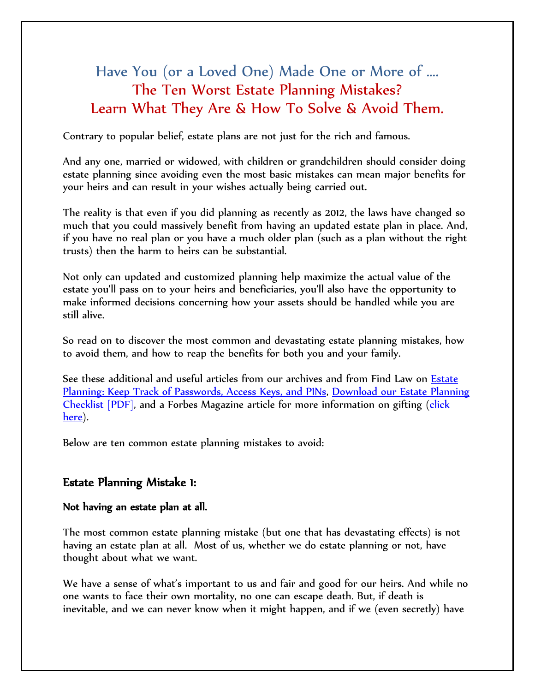# Have You (or a Loved One) Made One or More of …. The Ten Worst Estate Planning Mistakes? Learn What They Are & How To Solve & Avoid Them.

Contrary to popular belief, estate plans are not just for the rich and famous.

And any one, married or widowed, with children or grandchildren should consider doing estate planning since avoiding even the most basic mistakes can mean major benefits for your heirs and can result in your wishes actually being carried out.

The reality is that even if you did planning as recently as 2012, the laws have changed so much that you could massively benefit from having an updated estate plan in place. And, if you have no real plan or you have a much older plan (such as a plan without the right trusts) then the harm to heirs can be substantial.

Not only can updated and customized planning help maximize the actual value of the estate you'll pass on to your heirs and beneficiaries, you'll also have the opportunity to make informed decisions concerning how your assets should be handled while you are still alive.

So read on to discover the most common and devastating estate planning mistakes, how to avoid them, and how to reap the benefits for both you and your family.

See these additional and useful articles from our archives and from Find Law on [Estate](http://estate.findlaw.com/planning-an-estate/estate-planning-keep-track-of-passwords-access-keys-and-pins.html)  [Planning: Keep Track of Passwords, Access Keys, and PINs,](http://estate.findlaw.com/planning-an-estate/estate-planning-keep-track-of-passwords-access-keys-and-pins.html) [Download our Estate Planning](http://www.paestateplanners.com/library/utbf-estate-planning-questionnaire.cfm)  [Checklist \[PDF\],](http://www.paestateplanners.com/library/utbf-estate-planning-questionnaire.cfm) and a Forbes Magazine article for more information on gifting [\(click](http://www.forbes.com/sites/ashleaebeling/2014/10/30/irs-announces-2015-estate-and-gift-tax-limits/)  [here\)](http://www.forbes.com/sites/ashleaebeling/2014/10/30/irs-announces-2015-estate-and-gift-tax-limits/).

Below are ten common estate planning mistakes to avoid:

#### Estate Planning Mistake 1:

#### Not having an estate plan at all.

The most common estate planning mistake (but one that has devastating effects) is not having an estate plan at all. Most of us, whether we do estate planning or not, have thought about what we want.

We have a sense of what's important to us and fair and good for our heirs. And while no one wants to face their own mortality, no one can escape death. But, if death is inevitable, and we can never know when it might happen, and if we (even secretly) have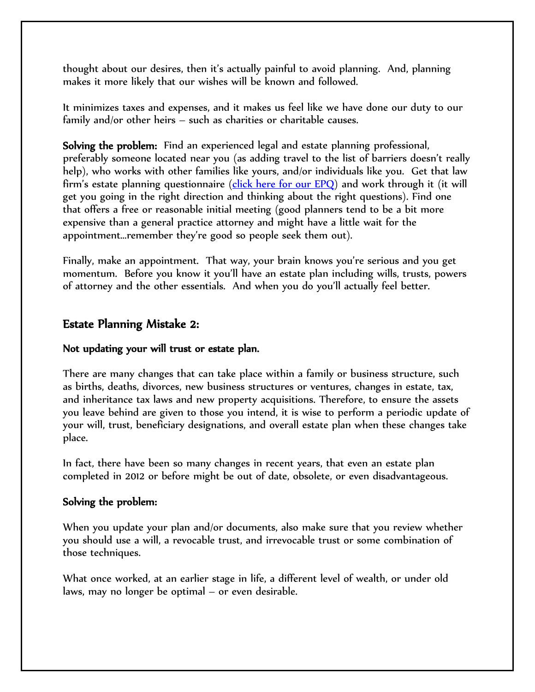thought about our desires, then it's actually painful to avoid planning. And, planning makes it more likely that our wishes will be known and followed.

It minimizes taxes and expenses, and it makes us feel like we have done our duty to our family and/or other heirs – such as charities or charitable causes.

Solving the problem: Find an experienced legal and estate planning professional, preferably someone located near you (as adding travel to the list of barriers doesn't really help), who works with other families like yours, and/or individuals like you. Get that law firm's estate planning questionnaire [\(click here for our EPQ\)](http://www.paestateplanners.com/library/utbf-estate-planning-questionnaire.cfm) and work through it (it will get you going in the right direction and thinking about the right questions). Find one that offers a free or reasonable initial meeting (good planners tend to be a bit more expensive than a general practice attorney and might have a little wait for the appointment…remember they're good so people seek them out).

Finally, make an appointment. That way, your brain knows you're serious and you get momentum. Before you know it you'll have an estate plan including wills, trusts, powers of attorney and the other essentials. And when you do you'll actually feel better.

## Estate Planning Mistake 2:

#### Not updating your will trust or estate plan.

There are many changes that can take place within a family or business structure, such as births, deaths, divorces, new business structures or ventures, changes in estate, tax, and inheritance tax laws and new property acquisitions. Therefore, to ensure the assets you leave behind are given to those you intend, it is wise to perform a periodic update of your will, trust, beneficiary designations, and overall estate plan when these changes take place.

In fact, there have been so many changes in recent years, that even an estate plan completed in 2012 or before might be out of date, obsolete, or even disadvantageous.

#### Solving the problem:

When you update your plan and/or documents, also make sure that you review whether you should use a will, a revocable trust, and irrevocable trust or some combination of those techniques.

What once worked, at an earlier stage in life, a different level of wealth, or under old laws, may no longer be optimal – or even desirable.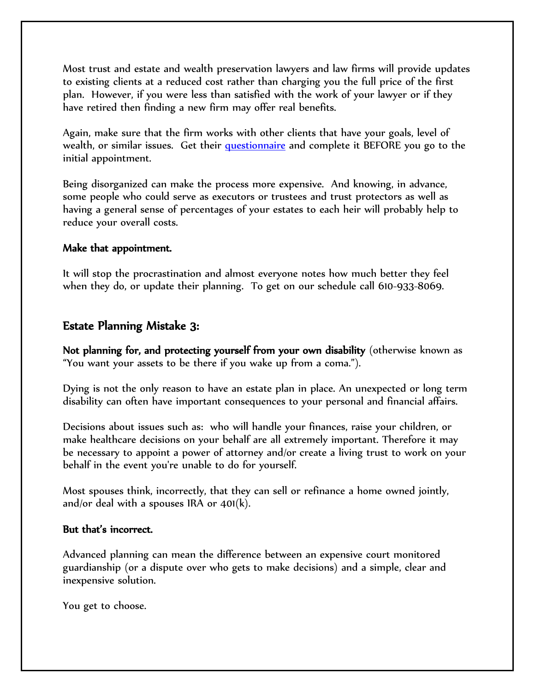Most trust and estate and wealth preservation lawyers and law firms will provide updates to existing clients at a reduced cost rather than charging you the full price of the first plan. However, if you were less than satisfied with the work of your lawyer or if they have retired then finding a new firm may offer real benefits.

Again, make sure that the firm works with other clients that have your goals, level of wealth, or similar issues. Get their [questionnaire](http://www.paestateplanners.com/library/utbf-estate-planning-questionnaire.cfm) and complete it BEFORE you go to the initial appointment.

Being disorganized can make the process more expensive. And knowing, in advance, some people who could serve as executors or trustees and trust protectors as well as having a general sense of percentages of your estates to each heir will probably help to reduce your overall costs.

#### Make that appointment.

It will stop the procrastination and almost everyone notes how much better they feel when they do, or update their planning. To get on our schedule call 610-933-8069.

# Estate Planning Mistake 3:

Not planning for, and protecting yourself from your own disability (otherwise known as "You want your assets to be there if you wake up from a coma.").

Dying is not the only reason to have an estate plan in place. An unexpected or long term disability can often have important consequences to your personal and financial affairs.

Decisions about issues such as: who will handle your finances, raise your children, or make healthcare decisions on your behalf are all extremely important. Therefore it may be necessary to appoint a power of attorney and/or create a living trust to work on your behalf in the event you're unable to do for yourself.

Most spouses think, incorrectly, that they can sell or refinance a home owned jointly, and/or deal with a spouses IRA or  $401(k)$ .

#### But that's incorrect.

Advanced planning can mean the difference between an expensive court monitored guardianship (or a dispute over who gets to make decisions) and a simple, clear and inexpensive solution.

You get to choose.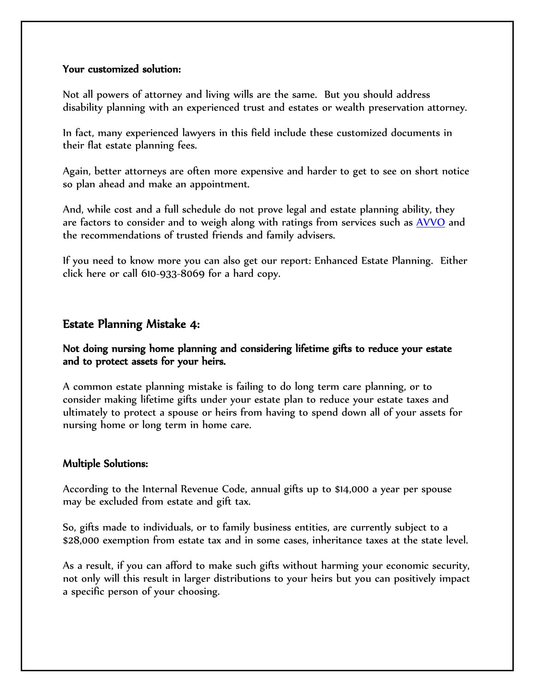#### Your customized solution:

Not all powers of attorney and living wills are the same. But you should address disability planning with an experienced trust and estates or wealth preservation attorney.

In fact, many experienced lawyers in this field include these customized documents in their flat estate planning fees.

Again, better attorneys are often more expensive and harder to get to see on short notice so plan ahead and make an appointment.

And, while cost and a full schedule do not prove legal and estate planning ability, they are factors to consider and to weigh along with ratings from services such as [AVVO](http://www.avvo.com/attorneys/19460-pa-david-frees-436805.html) and the recommendations of trusted friends and family advisers.

If you need to know more you can also get our report: Enhanced Estate Planning. Either click here or call 610-933-8069 for a hard copy.

## Estate Planning Mistake 4:

#### Not doing nursing home planning and considering lifetime gifts to reduce your estate and to protect assets for your heirs.

A common estate planning mistake is failing to do long term care planning, or to consider making lifetime gifts under your estate plan to reduce your estate taxes and ultimately to protect a spouse or heirs from having to spend down all of your assets for nursing home or long term in home care.

#### Multiple Solutions:

According to the Internal Revenue Code, annual gifts up to \$14,000 a year per spouse may be excluded from estate and gift tax.

So, gifts made to individuals, or to family business entities, are currently subject to a \$28,000 exemption from estate tax and in some cases, inheritance taxes at the state level.

As a result, if you can afford to make such gifts without harming your economic security, not only will this result in larger distributions to your heirs but you can positively impact a specific person of your choosing.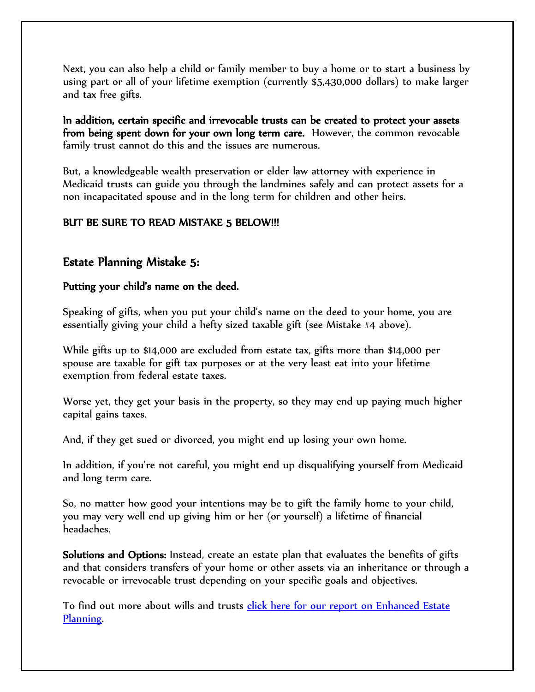Next, you can also help a child or family member to buy a home or to start a business by using part or all of your lifetime exemption (currently \$5,430,000 dollars) to make larger and tax free gifts.

In addition, certain specific and irrevocable trusts can be created to protect your assets from being spent down for your own long term care. However, the common revocable family trust cannot do this and the issues are numerous.

But, a knowledgeable wealth preservation or elder law attorney with experience in Medicaid trusts can guide you through the landmines safely and can protect assets for a non incapacitated spouse and in the long term for children and other heirs.

## BUT BE SURE TO READ MISTAKE 5 BELOW!!!

# Estate Planning Mistake 5:

## Putting your child's name on the deed.

Speaking of gifts, when you put your child's name on the deed to your home, you are essentially giving your child a hefty sized taxable gift (see Mistake #4 above).

While gifts up to \$14,000 are excluded from estate tax, gifts more than \$14,000 per spouse are taxable for gift tax purposes or at the very least eat into your lifetime exemption from federal estate taxes.

Worse yet, they get your basis in the property, so they may end up paying much higher capital gains taxes.

And, if they get sued or divorced, you might end up losing your own home.

In addition, if you're not careful, you might end up disqualifying yourself from Medicaid and long term care.

So, no matter how good your intentions may be to gift the family home to your child, you may very well end up giving him or her (or yourself) a lifetime of financial headaches.

Solutions and Options: Instead, create an estate plan that evaluates the benefits of gifts and that considers transfers of your home or other assets via an inheritance or through a revocable or irrevocable trust depending on your specific goals and objectives.

To find out more about wills and trusts click here for our [report on Enhanced Estate](http://www.paestateplanners.com/reports/the-process-for-protecting-your-legacy-lifestyle-and-your-heirs-from-taxation-lawsuits-and-div.cfm)  [Planning.](http://www.paestateplanners.com/reports/the-process-for-protecting-your-legacy-lifestyle-and-your-heirs-from-taxation-lawsuits-and-div.cfm)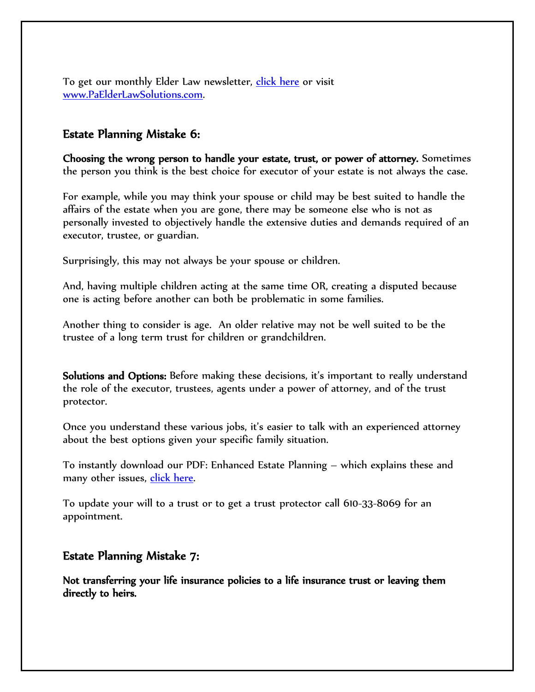To get our monthly Elder Law newsletter, [click here](http://www.paelderlawsolutions.com/) or visit [www.PaElderLawSolutions.com.](http://www.paelderlawsolutions.com/)

## Estate Planning Mistake 6:

Choosing the wrong person to handle your estate, trust, or power of attorney. Sometimes the person you think is the best choice for executor of your estate is not always the case.

For example, while you may think your spouse or child may be best suited to handle the affairs of the estate when you are gone, there may be someone else who is not as personally invested to objectively handle the extensive duties and demands required of an executor, trustee, or guardian.

Surprisingly, this may not always be your spouse or children.

And, having multiple children acting at the same time OR, creating a disputed because one is acting before another can both be problematic in some families.

Another thing to consider is age. An older relative may not be well suited to be the trustee of a long term trust for children or grandchildren.

Solutions and Options: Before making these decisions, it's important to really understand the role of the executor, trustees, agents under a power of attorney, and of the trust protector.

Once you understand these various jobs, it's easier to talk with an experienced attorney about the best options given your specific family situation.

To instantly download our PDF: Enhanced Estate Planning – which explains these and many other issues, *click here*.

To update your will to a trust or to get a trust protector call 610-33-8069 for an appointment.

## Estate Planning Mistake 7:

Not transferring your life insurance policies to a life insurance trust or leaving them directly to heirs.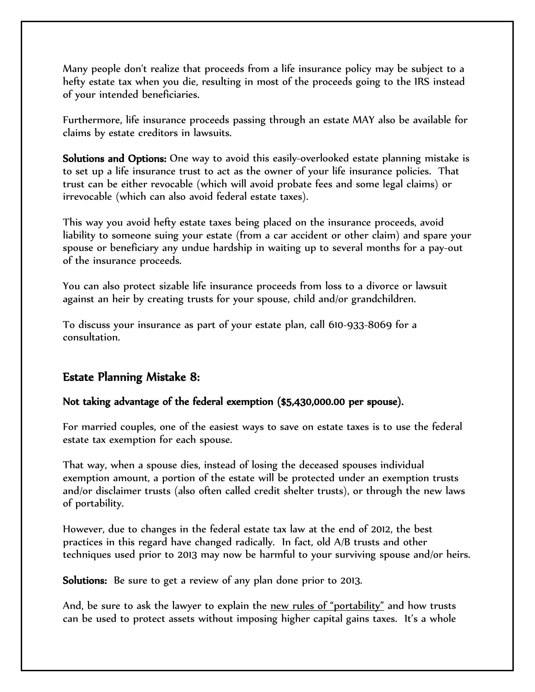Many people don't realize that proceeds from a life insurance policy may be subject to a hefty estate tax when you die, resulting in most of the proceeds going to the IRS instead of your intended beneficiaries.

Furthermore, life insurance proceeds passing through an estate MAY also be available for claims by estate creditors in lawsuits.

Solutions and Options: One way to avoid this easily-overlooked estate planning mistake is to set up a life insurance trust to act as the owner of your life insurance policies. That trust can be either revocable (which will avoid probate fees and some legal claims) or irrevocable (which can also avoid federal estate taxes).

This way you avoid hefty estate taxes being placed on the insurance proceeds, avoid liability to someone suing your estate (from a car accident or other claim) and spare your spouse or beneficiary any undue hardship in waiting up to several months for a pay-out of the insurance proceeds.

You can also protect sizable life insurance proceeds from loss to a divorce or lawsuit against an heir by creating trusts for your spouse, child and/or grandchildren.

To discuss your insurance as part of your estate plan, call 610-933-8069 for a consultation.

# Estate Planning Mistake 8:

## Not taking advantage of the federal exemption (\$5,430,000.00 per spouse).

For married couples, one of the easiest ways to save on estate taxes is to use the federal estate tax exemption for each spouse.

That way, when a spouse dies, instead of losing the deceased spouses individual exemption amount, a portion of the estate will be protected under an exemption trusts and/or disclaimer trusts (also often called credit shelter trusts), or through the new laws of portability.

However, due to changes in the federal estate tax law at the end of 2012, the best practices in this regard have changed radically. In fact, old A/B trusts and other techniques used prior to 2013 may now be harmful to your surviving spouse and/or heirs.

Solutions: Be sure to get a review of any plan done prior to 2013.

And, be sure to ask the lawyer to explain the new rules of "portability" and how trusts can be used to protect assets without imposing higher capital gains taxes. It's a whole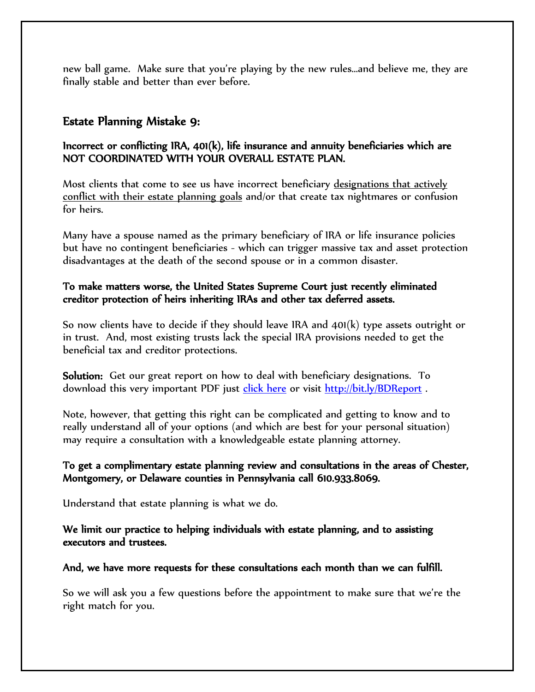new ball game. Make sure that you're playing by the new rules…and believe me, they are finally stable and better than ever before.

# Estate Planning Mistake 9:

## Incorrect or conflicting IRA, 401(k), life insurance and annuity beneficiaries which are NOT COORDINATED WITH YOUR OVERALL ESTATE PLAN.

Most clients that come to see us have incorrect beneficiary designations that actively conflict with their estate planning goals and/or that create tax nightmares or confusion for heirs.

Many have a spouse named as the primary beneficiary of IRA or life insurance policies but have no contingent beneficiaries - which can trigger massive tax and asset protection disadvantages at the death of the second spouse or in a common disaster.

## To make matters worse, the United States Supreme Court just recently eliminated creditor protection of heirs inheriting IRAs and other tax deferred assets.

So now clients have to decide if they should leave IRA and 401(k) type assets outright or in trust. And, most existing trusts lack the special IRA provisions needed to get the beneficial tax and creditor protections.

Solution: Get our great report on how to deal with beneficiary designations. To download this very important PDF just [click here](http://www.paestateplanners.com/library/Beneficiary-Designation-Report.pdf) or visit<http://bit.ly/BDReport>.

Note, however, that getting this right can be complicated and getting to know and to really understand all of your options (and which are best for your personal situation) may require a consultation with a knowledgeable estate planning attorney.

## To get a complimentary estate planning review and consultations in the areas of Chester, Montgomery, or Delaware counties in Pennsylvania call 610.933.8069.

Understand that estate planning is what we do.

## We limit our practice to helping individuals with estate planning, and to assisting executors and trustees.

## And, we have more requests for these consultations each month than we can fulfill.

So we will ask you a few questions before the appointment to make sure that we're the right match for you.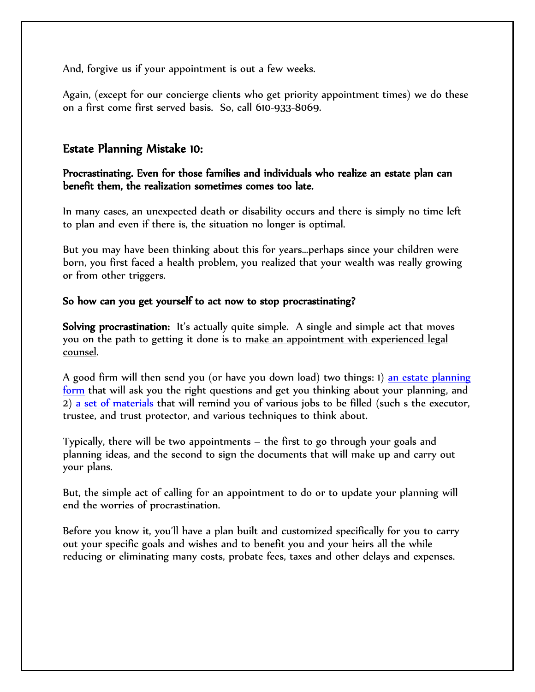And, forgive us if your appointment is out a few weeks.

Again, (except for our concierge clients who get priority appointment times) we do these on a first come first served basis. So, call 610-933-8069.

## Estate Planning Mistake 10:

#### Procrastinating. Even for those families and individuals who realize an estate plan can benefit them, the realization sometimes comes too late.

In many cases, an unexpected death or disability occurs and there is simply no time left to plan and even if there is, the situation no longer is optimal.

But you may have been thinking about this for years…perhaps since your children were born, you first faced a health problem, you realized that your wealth was really growing or from other triggers.

#### So how can you get yourself to act now to stop procrastinating?

Solving procrastination: It's actually quite simple. A single and simple act that moves you on the path to getting it done is to make an appointment with experienced legal counsel.

A good firm will then send you (or have you down load) two things: 1) [an estate planning](http://www.paestateplanners.com/library/utbf-estate-planning-questionnaire.cfm)  [form](http://www.paestateplanners.com/library/utbf-estate-planning-questionnaire.cfm) that will ask you the right questions and get you thinking about your planning, and 2) [a set of materials](http://www.paestateplanners.com/reports/the-process-for-protecting-your-legacy-lifestyle-and-your-heirs-from-taxation-lawsuits-and-div.cfm) that will remind you of various jobs to be filled (such s the executor, trustee, and trust protector, and various techniques to think about.

Typically, there will be two appointments – the first to go through your goals and planning ideas, and the second to sign the documents that will make up and carry out your plans.

But, the simple act of calling for an appointment to do or to update your planning will end the worries of procrastination.

Before you know it, you'll have a plan built and customized specifically for you to carry out your specific goals and wishes and to benefit you and your heirs all the while reducing or eliminating many costs, probate fees, taxes and other delays and expenses.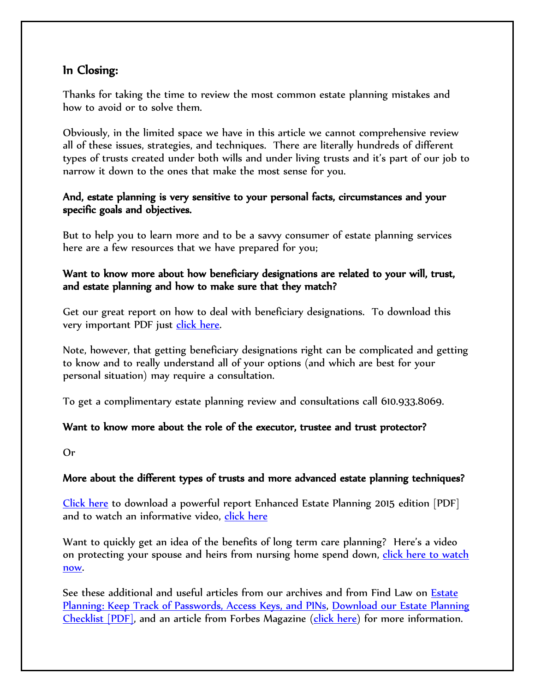# In Closing:

Thanks for taking the time to review the most common estate planning mistakes and how to avoid or to solve them.

Obviously, in the limited space we have in this article we cannot comprehensive review all of these issues, strategies, and techniques. There are literally hundreds of different types of trusts created under both wills and under living trusts and it's part of our job to narrow it down to the ones that make the most sense for you.

## And, estate planning is very sensitive to your personal facts, circumstances and your specific goals and objectives.

But to help you to learn more and to be a savvy consumer of estate planning services here are a few resources that we have prepared for you;

## Want to know more about how beneficiary designations are related to your will, trust, and estate planning and how to make sure that they match?

Get our great report on how to deal with beneficiary designations. To download this very important PDF just [click here.](http://www.paestateplanners.com/library/Beneficiary-Designation-Report.pdf)

Note, however, that getting beneficiary designations right can be complicated and getting to know and to really understand all of your options (and which are best for your personal situation) may require a consultation.

To get a complimentary estate planning review and consultations call 610.933.8069.

## Want to know more about the role of the executor, trustee and trust protector?

Or

## More about the different types of trusts and more advanced estate planning techniques?

[Click here](http://www.paestateplanners.com/reports/the-process-for-protecting-your-legacy-lifestyle-and-your-heirs-from-taxation-lawsuits-and-div.cfm) to download a powerful report Enhanced Estate Planning 2015 edition [PDF] and to watch an informative video, [click here](http://www.paestateplanners.com/reports/the-process-for-protecting-your-legacy-lifestyle-and-your-heirs-from-taxation-lawsuits-and-div.cfm)

Want to quickly get an idea of the benefits of long term care planning? Here's a video on protecting your spouse and heirs from nursing home spend down, click here to watch [now.](http://www.paestateplanners.com/video/protecting-your-assets-through-estate-elder-law-planning.cfm)

See these additional and useful articles from our archives and from Find Law on [Estate](http://estate.findlaw.com/planning-an-estate/estate-planning-keep-track-of-passwords-access-keys-and-pins.html)  [Planning: Keep Track of Passwords, Access Keys, and PINs,](http://estate.findlaw.com/planning-an-estate/estate-planning-keep-track-of-passwords-access-keys-and-pins.html) [Download our Estate Planning](http://www.paestateplanners.com/library/utbf-estate-planning-questionnaire.cfm)  [Checklist \[PDF\],](http://www.paestateplanners.com/library/utbf-estate-planning-questionnaire.cfm) and an article from Forbes Magazine [\(click here\)](http://www.forbes.com/sites/ashleaebeling/2014/10/30/irs-announces-2015-estate-and-gift-tax-limits/) for more information.